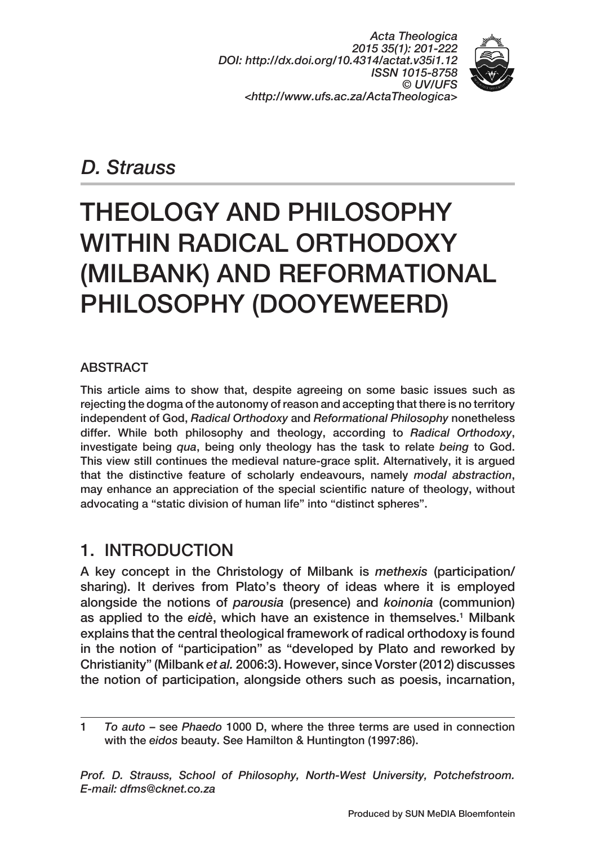*Acta Theologica 2015 35(1): 201‑222 DOI: http://dx.doi.org/10.4314/actat.v35i1.12 ISSN 1015‑8758 © UV/UFS <http://www.ufs.ac.za/ActaTheologica>*



## *D. Strauss*

# THEOLOGY AND PHILOSOPHY WITHIN RADICAL ORTHODOXY (MILBANK) AND REFORMATIONAL PHILOSOPHY (DOOYEWEERD)

#### **ABSTRACT**

This article aims to show that, despite agreeing on some basic issues such as rejecting the dogma of the autonomy of reason and accepting that there is no territory independent of God, *Radical Orthodoxy* and *Reformational Philosophy* nonetheless differ. While both philosophy and theology, according to *Radical Orthodoxy*, investigate being *qua*, being only theology has the task to relate *being* to God. This view still continues the medieval nature-grace split. Alternatively, it is argued that the distinctive feature of scholarly endeavours, namely *modal abstraction*, may enhance an appreciation of the special scientific nature of theology, without advocating a "static division of human life" into "distinct spheres".

### 1. INTRODUCTION

A key concept in the Christology of Milbank is *methexis* (participation/ sharing). It derives from Plato's theory of ideas where it is employed alongside the notions of *parousia* (presence) and *koinonia* (communion) as applied to the eidè, which have an existence in themselves.<sup>1</sup> Milbank explains that the central theological framework of radical orthodoxy is found in the notion of "participation" as "developed by Plato and reworked by Christianity" (Milbank *et al.* 2006:3). However, since Vorster (2012) discusses the notion of participation, alongside others such as poesis, incarnation,

<sup>1</sup> *To auto* – see *Phaedo* 1000 D, where the three terms are used in connection with the *eidos* beauty. See Hamilton & Huntington (1997:86).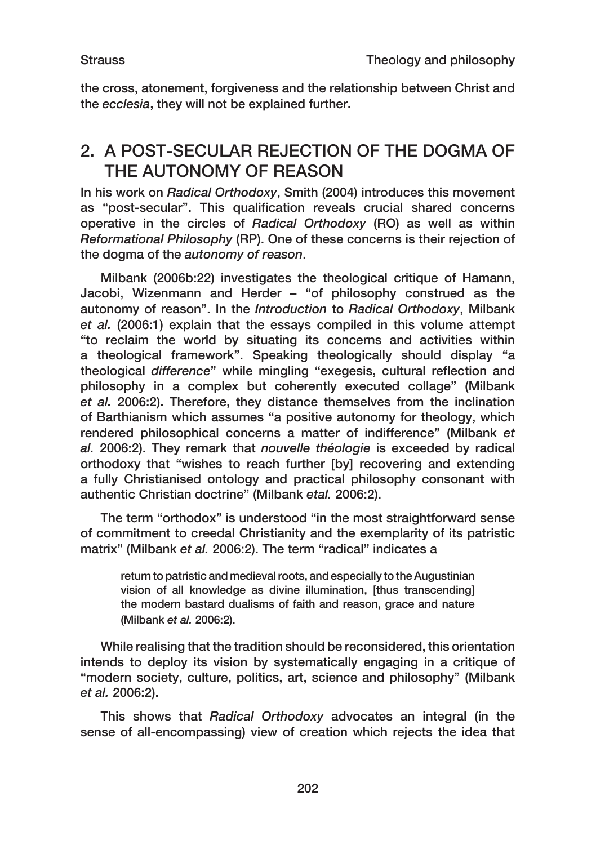the cross, atonement, forgiveness and the relationship between Christ and the *ecclesia*, they will not be explained further.

## 2. A POST-SECULAR REJECTION OF THE DOGMA OF THE AUTONOMY OF REASON

In his work on *Radical Orthodoxy*, Smith (2004) introduces this movement as "post-secular". This qualification reveals crucial shared concerns operative in the circles of *Radical Orthodoxy* (RO) as well as within *Reformational Philosophy* (RP). One of these concerns is their rejection of the dogma of the *autonomy of reason*.

Milbank (2006b:22) investigates the theological critique of Hamann, Jacobi, Wizenmann and Herder – "of philosophy construed as the autonomy of reason". In the *Introduction* to *Radical Orthodoxy*, Milbank *et al.* (2006:1) explain that the essays compiled in this volume attempt "to reclaim the world by situating its concerns and activities within a theological framework". Speaking theologically should display "a theological *difference*" while mingling "exegesis, cultural reflection and philosophy in a complex but coherently executed collage" (Milbank *et al.* 2006:2). Therefore, they distance themselves from the inclination of Barthianism which assumes "a positive autonomy for theology, which rendered philosophical concerns a matter of indifference" (Milbank *et al.* 2006:2). They remark that *nouvelle théologie* is exceeded by radical orthodoxy that "wishes to reach further [by] recovering and extending a fully Christianised ontology and practical philosophy consonant with authentic Christian doctrine" (Milbank *etal.* 2006:2).

The term "orthodox" is understood "in the most straightforward sense of commitment to creedal Christianity and the exemplarity of its patristic matrix" (Milbank *et al.* 2006:2). The term "radical" indicates a

return to patristic and medieval roots, and especially to the Augustinian vision of all knowledge as divine illumination, [thus transcending] the modern bastard dualisms of faith and reason, grace and nature (Milbank *et al.* 2006:2).

While realising that the tradition should be reconsidered, this orientation intends to deploy its vision by systematically engaging in a critique of "modern society, culture, politics, art, science and philosophy" (Milbank *et al.* 2006:2).

This shows that *Radical Orthodoxy* advocates an integral (in the sense of all-encompassing) view of creation which rejects the idea that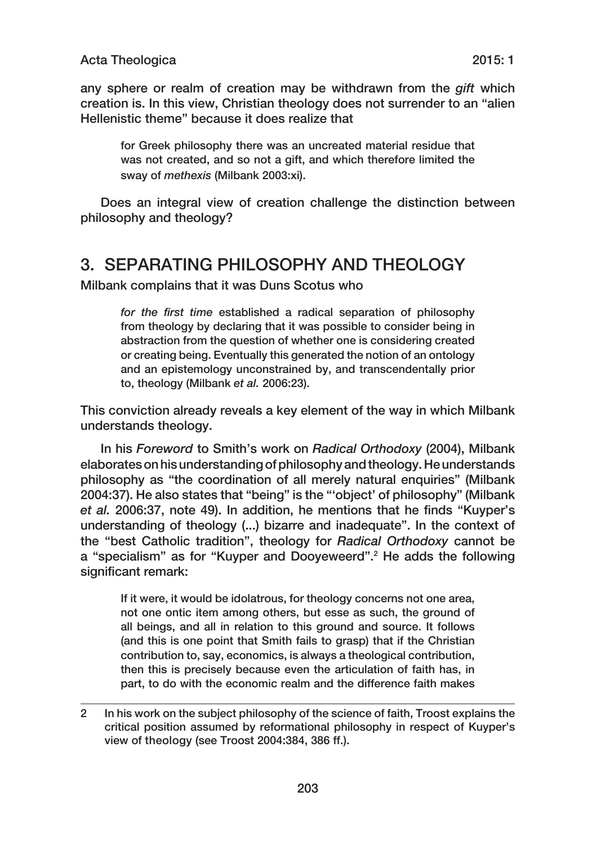any sphere or realm of creation may be withdrawn from the *gift* which creation is. In this view, Christian theology does not surrender to an "alien Hellenistic theme" because it does realize that

for Greek philosophy there was an uncreated material residue that was not created, and so not a gift, and which therefore limited the sway of *methexis* (Milbank 2003:xi).

Does an integral view of creation challenge the distinction between philosophy and theology?

## 3. SEPARATING PHILOSOPHY AND THEOLOGY

Milbank complains that it was Duns Scotus who

*for the first time* established a radical separation of philosophy from theology by declaring that it was possible to consider being in abstraction from the question of whether one is considering created or creating being. Eventually this generated the notion of an ontology and an epistemology unconstrained by, and transcendentally prior to, theology (Milbank *et al.* 2006:23).

This conviction already reveals a key element of the way in which Milbank understands theology.

In his *Foreword* to Smith's work on *Radical Orthodoxy* (2004), Milbank elaborates on his understanding of philosophy and theology. He understands philosophy as "the coordination of all merely natural enquiries" (Milbank 2004:37). He also states that "being" is the "'object' of philosophy" (Milbank *et al.* 2006:37, note 49). In addition, he mentions that he finds "Kuyper's understanding of theology (...) bizarre and inadequate". In the context of the "best Catholic tradition", theology for *Radical Orthodoxy* cannot be a "specialism" as for "Kuyper and Dooyeweerd".<sup>2</sup> He adds the following significant remark:

If it were, it would be idolatrous, for theology concerns not one area, not one ontic item among others, but esse as such, the ground of all beings, and all in relation to this ground and source. It follows (and this is one point that Smith fails to grasp) that if the Christian contribution to, say, economics, is always a theological contribution, then this is precisely because even the articulation of faith has, in part, to do with the economic realm and the difference faith makes

<sup>2</sup> In his work on the subject philosophy of the science of faith, Troost explains the critical position assumed by reformational philosophy in respect of Kuyper's view of theology (see Troost 2004:384, 386 ff.).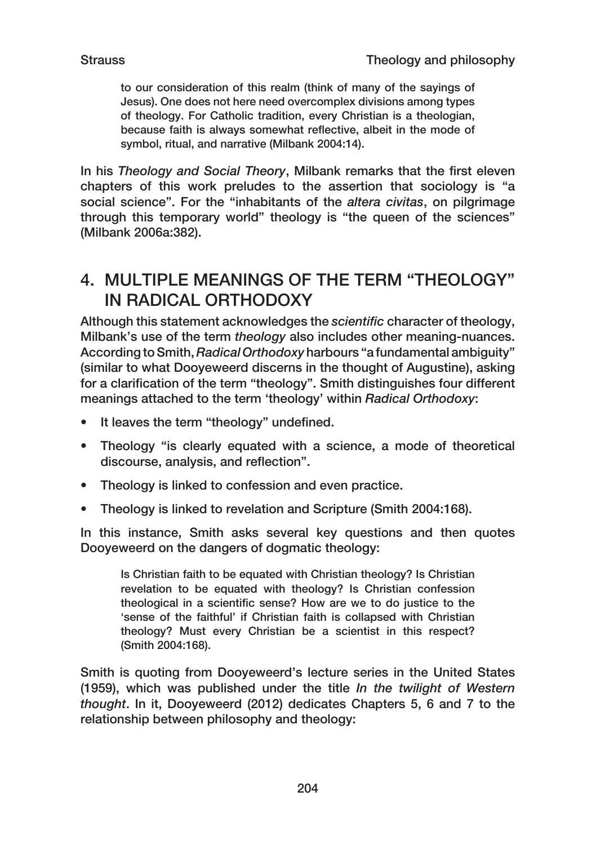to our consideration of this realm (think of many of the sayings of Jesus). One does not here need overcomplex divisions among types of theology. For Catholic tradition, every Christian is a theologian, because faith is always somewhat reflective, albeit in the mode of symbol, ritual, and narrative (Milbank 2004:14).

In his *Theology and Social Theory*, Milbank remarks that the first eleven chapters of this work preludes to the assertion that sociology is "a social science". For the "inhabitants of the *altera civitas*, on pilgrimage through this temporary world" theology is "the queen of the sciences" (Milbank 2006a:382).

## 4. MULTIPLE MEANINGS OF THE TERM "THEOLOGY" IN RADICAL ORTHODOXY

Although this statement acknowledges the *scientific* character of theology, Milbank's use of the term *theology* also includes other meaning-nuances. According to Smith, *Radical Orthodoxy* harbours "a fundamental ambiguity" (similar to what Dooyeweerd discerns in the thought of Augustine), asking for a clarification of the term "theology". Smith distinguishes four different meanings attached to the term 'theology' within *Radical Orthodoxy*:

- It leaves the term "theology" undefined.
- Theology "is clearly equated with a science, a mode of theoretical discourse, analysis, and reflection".
- Theology is linked to confession and even practice.
- Theology is linked to revelation and Scripture (Smith 2004:168).

In this instance, Smith asks several key questions and then quotes Dooyeweerd on the dangers of dogmatic theology:

Is Christian faith to be equated with Christian theology? Is Christian revelation to be equated with theology? Is Christian confession theological in a scientific sense? How are we to do justice to the 'sense of the faithful' if Christian faith is collapsed with Christian theology? Must every Christian be a scientist in this respect? (Smith 2004:168).

Smith is quoting from Dooyeweerd's lecture series in the United States (1959), which was published under the title *In the twilight of Western thought*. In it, Dooyeweerd (2012) dedicates Chapters 5, 6 and 7 to the relationship between philosophy and theology: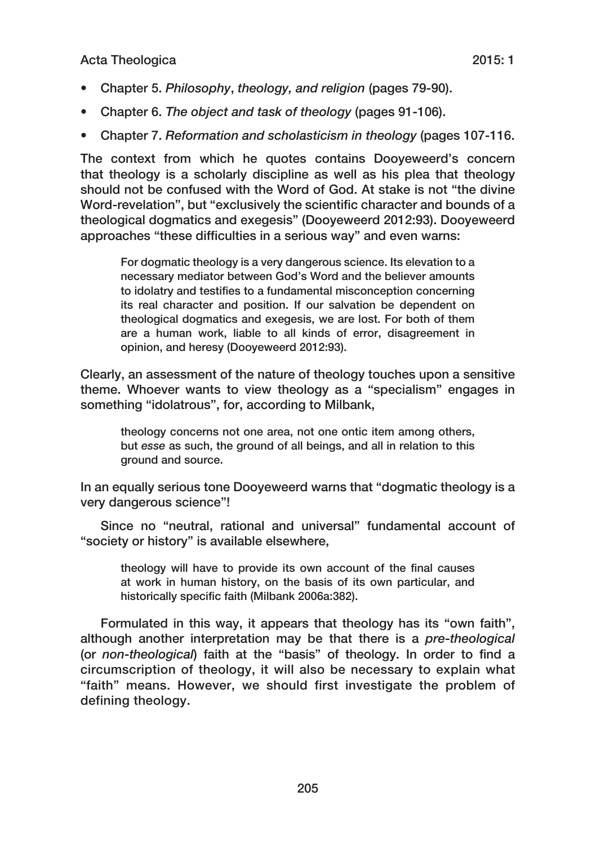- Chapter 5. *Philosophy*, *theology, and religion* (pages 79‑90).
- Chapter 6. *The object and task of theology* (pages 91‑106).
- Chapter 7. *Reformation and scholasticism in theology* (pages 107‑116.

The context from which he quotes contains Dooyeweerd's concern that theology is a scholarly discipline as well as his plea that theology should not be confused with the Word of God. At stake is not "the divine Word-revelation", but "exclusively the scientific character and bounds of a theological dogmatics and exegesis" (Dooyeweerd 2012:93). Dooyeweerd approaches "these difficulties in a serious way" and even warns:

For dogmatic theology is a very dangerous science. Its elevation to a necessary mediator between God's Word and the believer amounts to idolatry and testifies to a fundamental misconception concerning its real character and position. If our salvation be dependent on theological dogmatics and exegesis, we are lost. For both of them are a human work, liable to all kinds of error, disagreement in opinion, and heresy (Dooyeweerd 2012:93).

Clearly, an assessment of the nature of theology touches upon a sensitive theme. Whoever wants to view theology as a "specialism" engages in something "idolatrous", for, according to Milbank,

theology concerns not one area, not one ontic item among others, but *esse* as such, the ground of all beings, and all in relation to this ground and source.

In an equally serious tone Dooyeweerd warns that "dogmatic theology is a very dangerous science"!

Since no "neutral, rational and universal" fundamental account of "society or history" is available elsewhere,

theology will have to provide its own account of the final causes at work in human history, on the basis of its own particular, and historically specific faith (Milbank 2006a:382).

Formulated in this way, it appears that theology has its "own faith", although another interpretation may be that there is a *pre-theological* (or *non‑theological*) faith at the "basis" of theology. In order to find a circumscription of theology, it will also be necessary to explain what "faith" means. However, we should first investigate the problem of defining theology.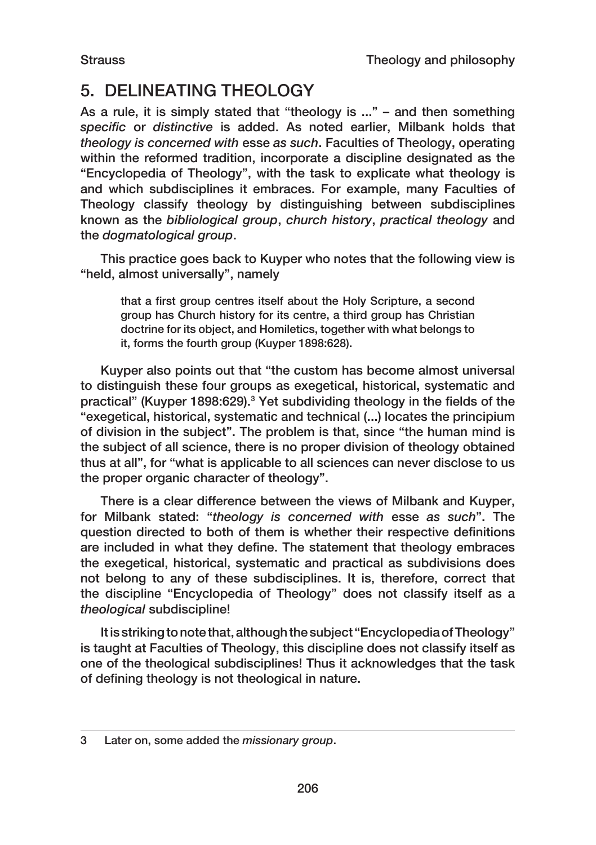## 5. DELINEATING THEOLOGY

As a rule, it is simply stated that "theology is ..." – and then something *specific* or *distinctive* is added. As noted earlier, Milbank holds that *theology is concerned with* esse *as such*. Faculties of Theology, operating within the reformed tradition, incorporate a discipline designated as the "Encyclopedia of Theology", with the task to explicate what theology is and which subdisciplines it embraces. For example, many Faculties of Theology classify theology by distinguishing between subdisciplines known as the *bibliological group*, *church history*, *practical theology* and the *dogmatological group*.

This practice goes back to Kuyper who notes that the following view is "held, almost universally", namely

that a first group centres itself about the Holy Scripture, a second group has Church history for its centre, a third group has Christian doctrine for its object, and Homiletics, together with what belongs to it, forms the fourth group (Kuyper 1898:628).

Kuyper also points out that "the custom has become almost universal to distinguish these four groups as exegetical, historical, systematic and practical" (Kuyper 1898:629).<sup>3</sup> Yet subdividing theology in the fields of the "exegetical, historical, systematic and technical (...) locates the principium of division in the subject". The problem is that, since "the human mind is the subject of all science, there is no proper division of theology obtained thus at all", for "what is applicable to all sciences can never disclose to us the proper organic character of theology".

There is a clear difference between the views of Milbank and Kuyper, for Milbank stated: "*theology is concerned with* esse *as such*". The question directed to both of them is whether their respective definitions are included in what they define. The statement that theology embraces the exegetical, historical, systematic and practical as subdivisions does not belong to any of these subdisciplines. It is, therefore, correct that the discipline "Encyclopedia of Theology" does not classify itself as a *theological* subdiscipline!

It is striking to note that, although the subject "Encyclopedia of Theology" is taught at Faculties of Theology, this discipline does not classify itself as one of the theological subdisciplines! Thus it acknowledges that the task of defining theology is not theological in nature.

<sup>3</sup> Later on, some added the *missionary group*.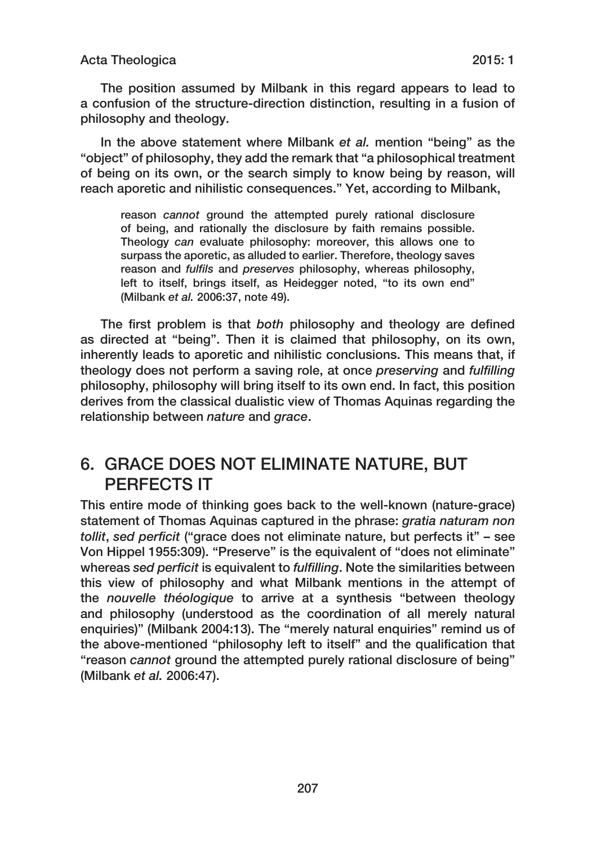The position assumed by Milbank in this regard appears to lead to a confusion of the structure‑direction distinction, resulting in a fusion of philosophy and theology.

In the above statement where Milbank *et al.* mention "being" as the "object" of philosophy, they add the remark that "a philosophical treatment of being on its own, or the search simply to know being by reason, will reach aporetic and nihilistic consequences." Yet, according to Milbank,

reason *cannot* ground the attempted purely rational disclosure of being, and rationally the disclosure by faith remains possible. Theology *can* evaluate philosophy: moreover, this allows one to surpass the aporetic, as alluded to earlier. Therefore, theology saves reason and *fulfils* and *preserves* philosophy, whereas philosophy, left to itself, brings itself, as Heidegger noted, "to its own end" (Milbank *et al.* 2006:37, note 49).

The first problem is that *both* philosophy and theology are defined as directed at "being". Then it is claimed that philosophy, on its own, inherently leads to aporetic and nihilistic conclusions. This means that, if theology does not perform a saving role, at once *preserving* and *fulfilling* philosophy, philosophy will bring itself to its own end. In fact, this position derives from the classical dualistic view of Thomas Aquinas regarding the relationship between *nature* and *grace*.

## 6. GRACE DOES NOT ELIMINATE NATURE, BUT PERFECTS IT

This entire mode of thinking goes back to the well-known (nature-grace) statement of Thomas Aquinas captured in the phrase: *gratia naturam non tollit*, *sed perficit* ("grace does not eliminate nature, but perfects it" – see Von Hippel 1955:309). "Preserve" is the equivalent of "does not eliminate" whereas *sed perficit* is equivalent to *fulfilling*. Note the similarities between this view of philosophy and what Milbank mentions in the attempt of the *nouvelle théologique* to arrive at a synthesis "between theology and philosophy (understood as the coordination of all merely natural enquiries)" (Milbank 2004:13). The "merely natural enquiries" remind us of the above-mentioned "philosophy left to itself" and the qualification that "reason *cannot* ground the attempted purely rational disclosure of being" (Milbank *et al.* 2006:47).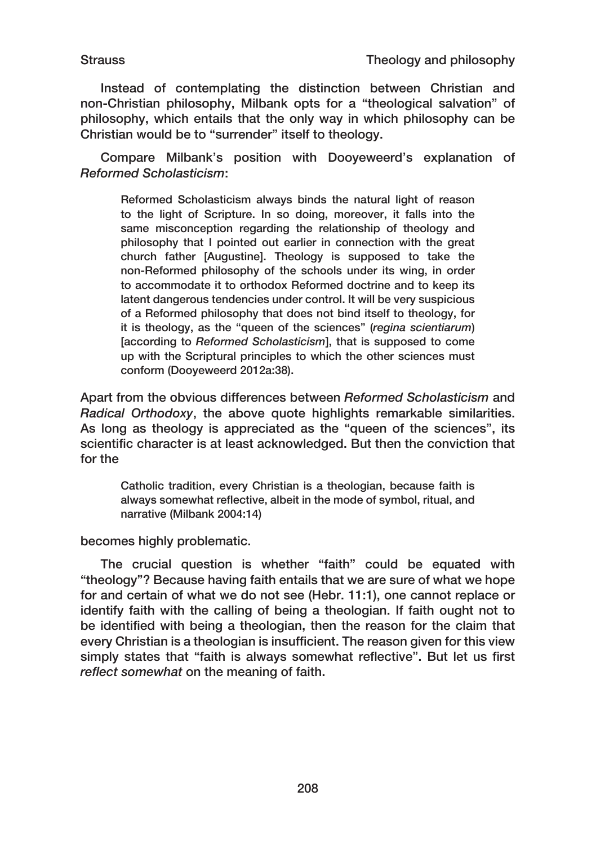Instead of contemplating the distinction between Christian and non‑Christian philosophy, Milbank opts for a "theological salvation" of philosophy, which entails that the only way in which philosophy can be Christian would be to "surrender" itself to theology.

Compare Milbank's position with Dooyeweerd's explanation of *Reformed Scholasticism*:

Reformed Scholasticism always binds the natural light of reason to the light of Scripture. In so doing, moreover, it falls into the same misconception regarding the relationship of theology and philosophy that I pointed out earlier in connection with the great church father [Augustine]. Theology is supposed to take the non‑Reformed philosophy of the schools under its wing, in order to accommodate it to orthodox Reformed doctrine and to keep its latent dangerous tendencies under control. It will be very suspicious of a Reformed philosophy that does not bind itself to theology, for it is theology, as the "queen of the sciences" (*regina scientiarum*) [according to *Reformed Scholasticism*], that is supposed to come up with the Scriptural principles to which the other sciences must conform (Dooyeweerd 2012a:38).

Apart from the obvious differences between *Reformed Scholasticism* and *Radical Orthodoxy*, the above quote highlights remarkable similarities. As long as theology is appreciated as the "queen of the sciences", its scientific character is at least acknowledged. But then the conviction that for the

Catholic tradition, every Christian is a theologian, because faith is always somewhat reflective, albeit in the mode of symbol, ritual, and narrative (Milbank 2004:14)

#### becomes highly problematic.

The crucial question is whether "faith" could be equated with "theology"? Because having faith entails that we are sure of what we hope for and certain of what we do not see (Hebr. 11:1), one cannot replace or identify faith with the calling of being a theologian. If faith ought not to be identified with being a theologian, then the reason for the claim that every Christian is a theologian is insufficient. The reason given for this view simply states that "faith is always somewhat reflective". But let us first *reflect somewhat* on the meaning of faith.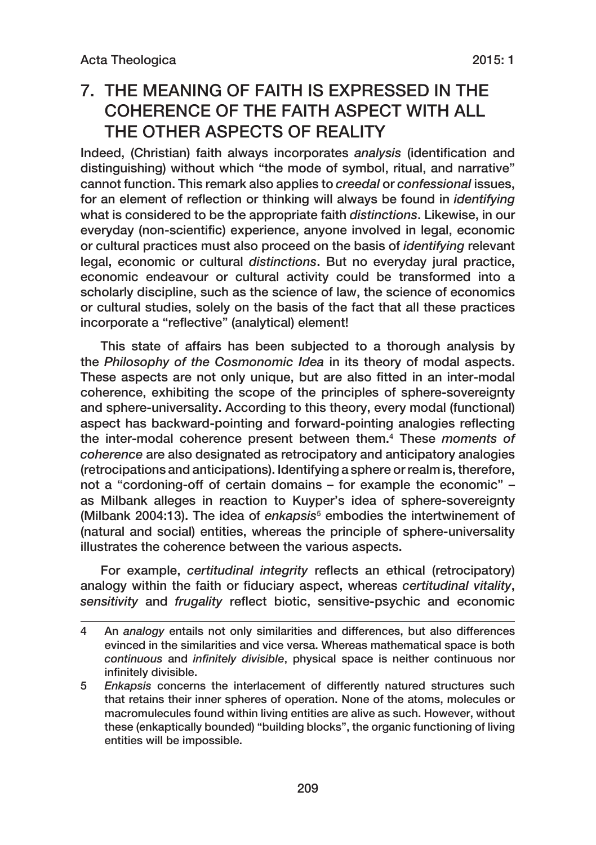## 7. THE MEANING OF FAITH IS EXPRESSED IN THE COHERENCE OF THE FAITH ASPECT WITH ALL THE OTHER ASPECTS OF REALITY

Indeed, (Christian) faith always incorporates *analysis* (identification and distinguishing) without which "the mode of symbol, ritual, and narrative" cannot function. This remark also applies to *creedal* or *confessional* issues, for an element of reflection or thinking will always be found in *identifying* what is considered to be the appropriate faith *distinctions*. Likewise, in our everyday (non‑scientific) experience, anyone involved in legal, economic or cultural practices must also proceed on the basis of *identifying* relevant legal, economic or cultural *distinctions*. But no everyday jural practice, economic endeavour or cultural activity could be transformed into a scholarly discipline, such as the science of law, the science of economics or cultural studies, solely on the basis of the fact that all these practices incorporate a "reflective" (analytical) element!

This state of affairs has been subjected to a thorough analysis by the *Philosophy of the Cosmonomic Idea* in its theory of modal aspects. These aspects are not only unique, but are also fitted in an inter-modal coherence, exhibiting the scope of the principles of sphere‑sovereignty and sphere-universality. According to this theory, every modal (functional) aspect has backward‑pointing and forward‑pointing analogies reflecting the inter‑modal coherence present between them.4 These *moments of coherence* are also designated as retrocipatory and anticipatory analogies (retrocipations and anticipations). Identifying a sphere or realm is, therefore, not a "cordoning‑off of certain domains – for example the economic" – as Milbank alleges in reaction to Kuyper's idea of sphere-sovereignty (Milbank 2004:13). The idea of *enkapsis*<sup>5</sup> embodies the intertwinement of (natural and social) entities, whereas the principle of sphere-universality illustrates the coherence between the various aspects.

For example, *certitudinal integrity* reflects an ethical (retrocipatory) analogy within the faith or fiduciary aspect, whereas *certitudinal vitality*, sensitivity and *frugality* reflect biotic, sensitive-psychic and economic

<sup>4</sup> An *analogy* entails not only similarities and differences, but also differences evinced in the similarities and vice versa. Whereas mathematical space is both *continuous* and *infinitely divisible*, physical space is neither continuous nor infinitely divisible.

<sup>5</sup> *Enkapsis* concerns the interlacement of differently natured structures such that retains their inner spheres of operation. None of the atoms, molecules or macromulecules found within living entities are alive as such. However, without these (enkaptically bounded) "building blocks", the organic functioning of living entities will be impossible.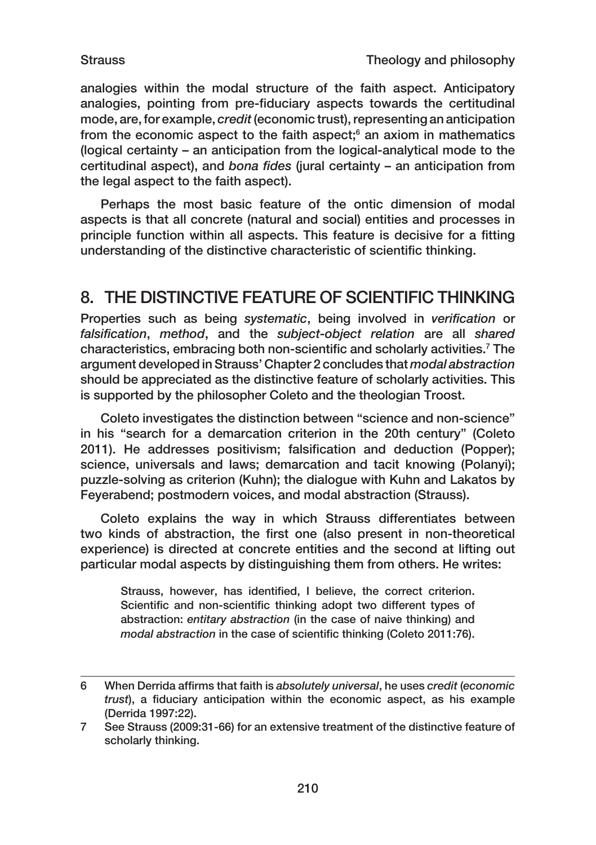analogies within the modal structure of the faith aspect. Anticipatory analogies, pointing from pre‑fiduciary aspects towards the certitudinal mode, are, for example, *credit* (economic trust), representing an anticipation from the economic aspect to the faith aspect;<sup>6</sup> an axiom in mathematics (logical certainty – an anticipation from the logical‑analytical mode to the certitudinal aspect), and *bona fides* (jural certainty – an anticipation from the legal aspect to the faith aspect).

Perhaps the most basic feature of the ontic dimension of modal aspects is that all concrete (natural and social) entities and processes in principle function within all aspects. This feature is decisive for a fitting understanding of the distinctive characteristic of scientific thinking.

## 8. THE DISTINCTIVE FEATURE OF SCIENTIFIC THINKING

Properties such as being *systematic*, being involved in *verification* or *falsification*, *method*, and the *subject‑object relation* are all *shared* characteristics, embracing both non‑scientific and scholarly activities.7 The argument developed in Strauss' Chapter 2 concludes that *modal abstraction* should be appreciated as the distinctive feature of scholarly activities. This is supported by the philosopher Coleto and the theologian Troost.

Coleto investigates the distinction between "science and non-science" in his "search for a demarcation criterion in the 20th century" (Coleto 2011). He addresses positivism; falsification and deduction (Popper); science, universals and laws; demarcation and tacit knowing (Polanyi); puzzle‑solving as criterion (Kuhn); the dialogue with Kuhn and Lakatos by Feyerabend; postmodern voices, and modal abstraction (Strauss).

Coleto explains the way in which Strauss differentiates between two kinds of abstraction, the first one (also present in non-theoretical experience) is directed at concrete entities and the second at lifting out particular modal aspects by distinguishing them from others. He writes:

Strauss, however, has identified, I believe, the correct criterion. Scientific and non-scientific thinking adopt two different types of abstraction: *entitary abstraction* (in the case of naive thinking) and *modal abstraction* in the case of scientific thinking (Coleto 2011:76).

<sup>6</sup> When Derrida affirms that faith is *absolutely universal*, he uses *credit* (*economic trust*), a fiduciary anticipation within the economic aspect, as his example (Derrida 1997:22).

<sup>7</sup> See Strauss (2009:31‑66) for an extensive treatment of the distinctive feature of scholarly thinking.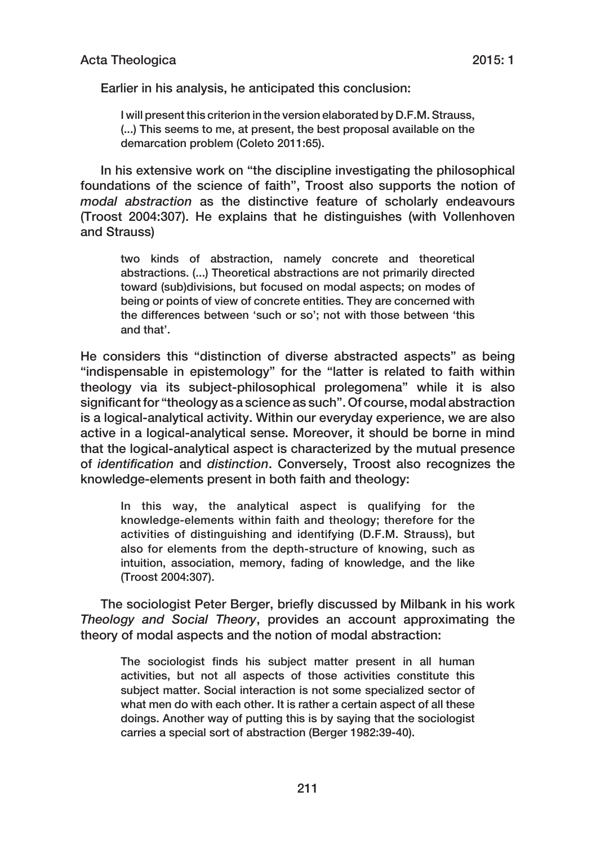Earlier in his analysis, he anticipated this conclusion:

I will present this criterion in the version elaborated by D.F.M. Strauss, (...) This seems to me, at present, the best proposal available on the demarcation problem (Coleto 2011:65).

In his extensive work on "the discipline investigating the philosophical foundations of the science of faith", Troost also supports the notion of *modal abstraction* as the distinctive feature of scholarly endeavours (Troost 2004:307). He explains that he distinguishes (with Vollenhoven and Strauss)

two kinds of abstraction, namely concrete and theoretical abstractions. (...) Theoretical abstractions are not primarily directed toward (sub)divisions, but focused on modal aspects; on modes of being or points of view of concrete entities. They are concerned with the differences between 'such or so'; not with those between 'this and that'.

He considers this "distinction of diverse abstracted aspects" as being "indispensable in epistemology" for the "latter is related to faith within theology via its subject‑philosophical prolegomena" while it is also significant for "theology as a science as such". Of course, modal abstraction is a logical‑analytical activity. Within our everyday experience, we are also active in a logical-analytical sense. Moreover, it should be borne in mind that the logical-analytical aspect is characterized by the mutual presence of *identification* and *distinction*. Conversely, Troost also recognizes the knowledge‑elements present in both faith and theology:

In this way, the analytical aspect is qualifying for the knowledge‑elements within faith and theology; therefore for the activities of distinguishing and identifying (D.F.M. Strauss), but also for elements from the depth-structure of knowing, such as intuition, association, memory, fading of knowledge, and the like (Troost 2004:307).

The sociologist Peter Berger, briefly discussed by Milbank in his work *Theology and Social Theory*, provides an account approximating the theory of modal aspects and the notion of modal abstraction:

The sociologist finds his subject matter present in all human activities, but not all aspects of those activities constitute this subject matter. Social interaction is not some specialized sector of what men do with each other. It is rather a certain aspect of all these doings. Another way of putting this is by saying that the sociologist carries a special sort of abstraction (Berger 1982:39‑40).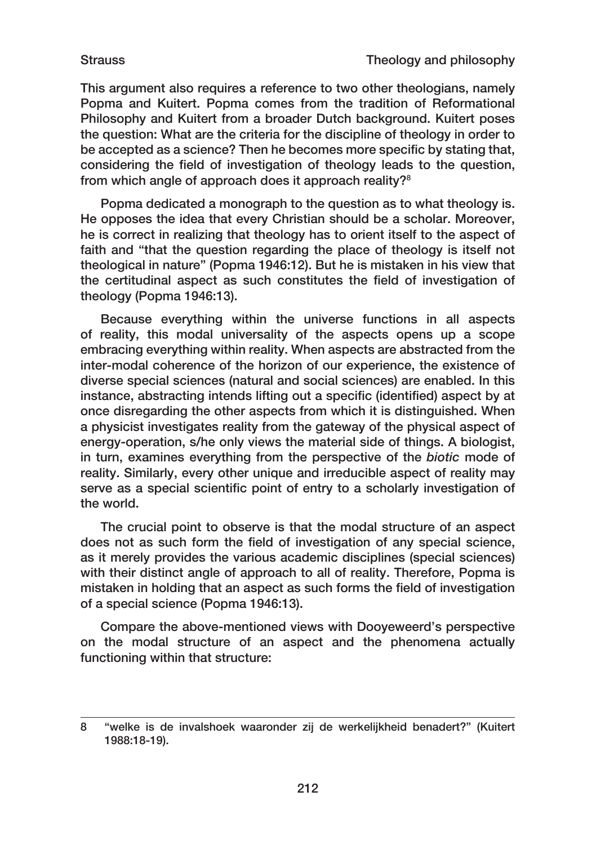This argument also requires a reference to two other theologians, namely Popma and Kuitert. Popma comes from the tradition of Reformational Philosophy and Kuitert from a broader Dutch background. Kuitert poses the question: What are the criteria for the discipline of theology in order to be accepted as a science? Then he becomes more specific by stating that, considering the field of investigation of theology leads to the question, from which angle of approach does it approach reality?8

Popma dedicated a monograph to the question as to what theology is. He opposes the idea that every Christian should be a scholar. Moreover, he is correct in realizing that theology has to orient itself to the aspect of faith and "that the question regarding the place of theology is itself not theological in nature" (Popma 1946:12). But he is mistaken in his view that the certitudinal aspect as such constitutes the field of investigation of theology (Popma 1946:13).

Because everything within the universe functions in all aspects of reality, this modal universality of the aspects opens up a scope embracing everything within reality. When aspects are abstracted from the inter‑modal coherence of the horizon of our experience, the existence of diverse special sciences (natural and social sciences) are enabled. In this instance, abstracting intends lifting out a specific (identified) aspect by at once disregarding the other aspects from which it is distinguished. When a physicist investigates reality from the gateway of the physical aspect of energy-operation, s/he only views the material side of things. A biologist, in turn, examines everything from the perspective of the *biotic* mode of reality. Similarly, every other unique and irreducible aspect of reality may serve as a special scientific point of entry to a scholarly investigation of the world.

The crucial point to observe is that the modal structure of an aspect does not as such form the field of investigation of any special science, as it merely provides the various academic disciplines (special sciences) with their distinct angle of approach to all of reality. Therefore, Popma is mistaken in holding that an aspect as such forms the field of investigation of a special science (Popma 1946:13).

Compare the above‑mentioned views with Dooyeweerd's perspective on the modal structure of an aspect and the phenomena actually functioning within that structure:

<sup>8</sup> "welke is de invalshoek waaronder zij de werkelijkheid benadert?" (Kuitert 1988:18‑19).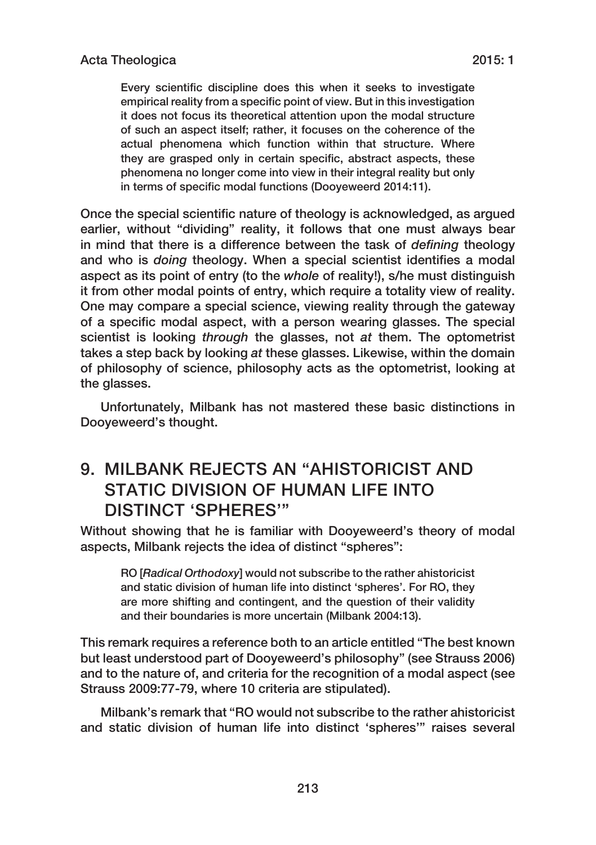Every scientific discipline does this when it seeks to investigate empirical reality from a specific point of view. But in this investigation it does not focus its theoretical attention upon the modal structure of such an aspect itself; rather, it focuses on the coherence of the actual phenomena which function within that structure. Where they are grasped only in certain specific, abstract aspects, these phenomena no longer come into view in their integral reality but only in terms of specific modal functions (Dooyeweerd 2014:11).

Once the special scientific nature of theology is acknowledged, as argued earlier, without "dividing" reality, it follows that one must always bear in mind that there is a difference between the task of *defining* theology and who is *doing* theology. When a special scientist identifies a modal aspect as its point of entry (to the *whole* of reality!), s/he must distinguish it from other modal points of entry, which require a totality view of reality. One may compare a special science, viewing reality through the gateway of a specific modal aspect, with a person wearing glasses. The special scientist is looking *through* the glasses, not *at* them. The optometrist takes a step back by looking *at* these glasses. Likewise, within the domain of philosophy of science, philosophy acts as the optometrist, looking at the glasses.

Unfortunately, Milbank has not mastered these basic distinctions in Dooyeweerd's thought.

### 9. MILBANK REJECTS AN "AHISTORICIST AND STATIC DIVISION OF HUMAN LIFE INTO DISTINCT 'SPHERES'"

Without showing that he is familiar with Dooyeweerd's theory of modal aspects, Milbank rejects the idea of distinct "spheres":

RO [*Radical Orthodoxy*] would not subscribe to the rather ahistoricist and static division of human life into distinct 'spheres'. For RO, they are more shifting and contingent, and the question of their validity and their boundaries is more uncertain (Milbank 2004:13).

This remark requires a reference both to an article entitled "The best known but least understood part of Dooyeweerd's philosophy" (see Strauss 2006) and to the nature of, and criteria for the recognition of a modal aspect (see Strauss 2009:77‑79, where 10 criteria are stipulated).

Milbank's remark that "RO would not subscribe to the rather ahistoricist and static division of human life into distinct 'spheres'" raises several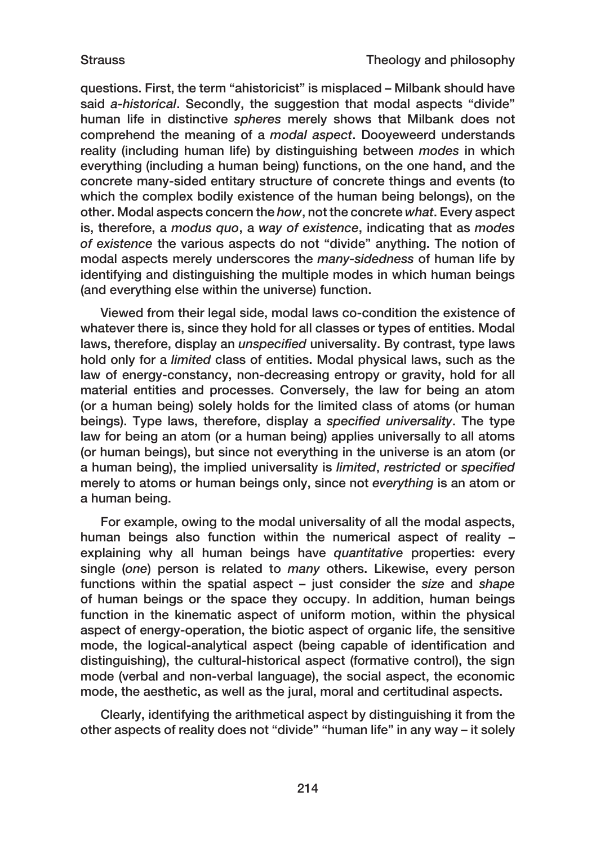questions. First, the term "ahistoricist" is misplaced – Milbank should have said *a-historical*. Secondly, the suggestion that modal aspects "divide" human life in distinctive *spheres* merely shows that Milbank does not comprehend the meaning of a *modal aspect*. Dooyeweerd understands reality (including human life) by distinguishing between *modes* in which everything (including a human being) functions, on the one hand, and the concrete many‑sided entitary structure of concrete things and events (to which the complex bodily existence of the human being belongs), on the other. Modal aspects concern the *how*, not the concrete *what*. Every aspect is, therefore, a *modus quo*, a *way of existence*, indicating that as *modes of existence* the various aspects do not "divide" anything. The notion of modal aspects merely underscores the *many‑sidedness* of human life by identifying and distinguishing the multiple modes in which human beings (and everything else within the universe) function.

Viewed from their legal side, modal laws co‑condition the existence of whatever there is, since they hold for all classes or types of entities. Modal laws, therefore, display an *unspecified* universality. By contrast, type laws hold only for a *limited* class of entities. Modal physical laws, such as the law of energy-constancy, non-decreasing entropy or gravity, hold for all material entities and processes. Conversely, the law for being an atom (or a human being) solely holds for the limited class of atoms (or human beings). Type laws, therefore, display a *specified universality*. The type law for being an atom (or a human being) applies universally to all atoms (or human beings), but since not everything in the universe is an atom (or a human being), the implied universality is *limited*, *restricted* or *specified* merely to atoms or human beings only, since not *everything* is an atom or a human being.

For example, owing to the modal universality of all the modal aspects, human beings also function within the numerical aspect of reality – explaining why all human beings have *quantitative* properties: every single (*one*) person is related to *many* others. Likewise, every person functions within the spatial aspect – just consider the *size* and *shape* of human beings or the space they occupy. In addition, human beings function in the kinematic aspect of uniform motion, within the physical aspect of energy‑operation, the biotic aspect of organic life, the sensitive mode, the logical‑analytical aspect (being capable of identification and distinguishing), the cultural-historical aspect (formative control), the sign mode (verbal and non‑verbal language), the social aspect, the economic mode, the aesthetic, as well as the jural, moral and certitudinal aspects.

Clearly, identifying the arithmetical aspect by distinguishing it from the other aspects of reality does not "divide" "human life" in any way – it solely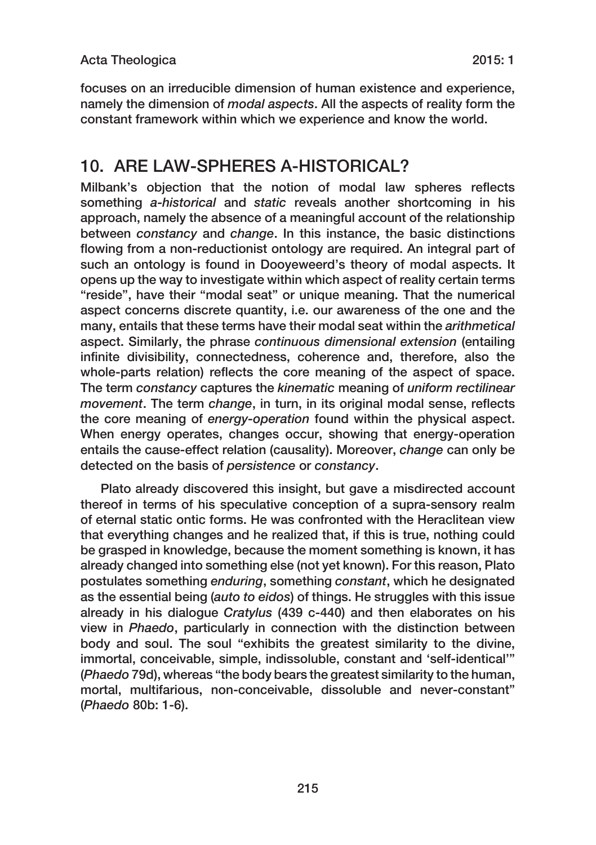focuses on an irreducible dimension of human existence and experience, namely the dimension of *modal aspects*. All the aspects of reality form the constant framework within which we experience and know the world.

## 10. ARE LAW‑SPHERES A‑HISTORICAL?

Milbank's objection that the notion of modal law spheres reflects something *a‑historical* and *static* reveals another shortcoming in his approach, namely the absence of a meaningful account of the relationship between *constancy* and *change*. In this instance, the basic distinctions flowing from a non-reductionist ontology are required. An integral part of such an ontology is found in Dooyeweerd's theory of modal aspects. It opens up the way to investigate within which aspect of reality certain terms "reside", have their "modal seat" or unique meaning. That the numerical aspect concerns discrete quantity, i.e. our awareness of the one and the many, entails that these terms have their modal seat within the *arithmetical* aspect. Similarly, the phrase *continuous dimensional extension* (entailing infinite divisibility, connectedness, coherence and, therefore, also the whole-parts relation) reflects the core meaning of the aspect of space. The term *constancy* captures the *kinematic* meaning of *uniform rectilinear movement*. The term *change*, in turn, in its original modal sense, reflects the core meaning of *energy‑operation* found within the physical aspect. When energy operates, changes occur, showing that energy-operation entails the cause‑effect relation (causality). Moreover, *change* can only be detected on the basis of *persistence* or *constancy*.

Plato already discovered this insight, but gave a misdirected account thereof in terms of his speculative conception of a supra-sensory realm of eternal static ontic forms. He was confronted with the Heraclitean view that everything changes and he realized that, if this is true, nothing could be grasped in knowledge, because the moment something is known, it has already changed into something else (not yet known). For this reason, Plato postulates something *enduring*, something *constant*, which he designated as the essential being (*auto to eidos*) of things. He struggles with this issue already in his dialogue *Cratylus* (439 c‑440) and then elaborates on his view in *Phaedo*, particularly in connection with the distinction between body and soul. The soul "exhibits the greatest similarity to the divine, immortal, conceivable, simple, indissoluble, constant and 'self‑identical'" (*Phaedo* 79d), whereas "the body bears the greatest similarity to the human, mortal, multifarious, non-conceivable, dissoluble and never-constant" (*Phaedo* 80b: 1‑6).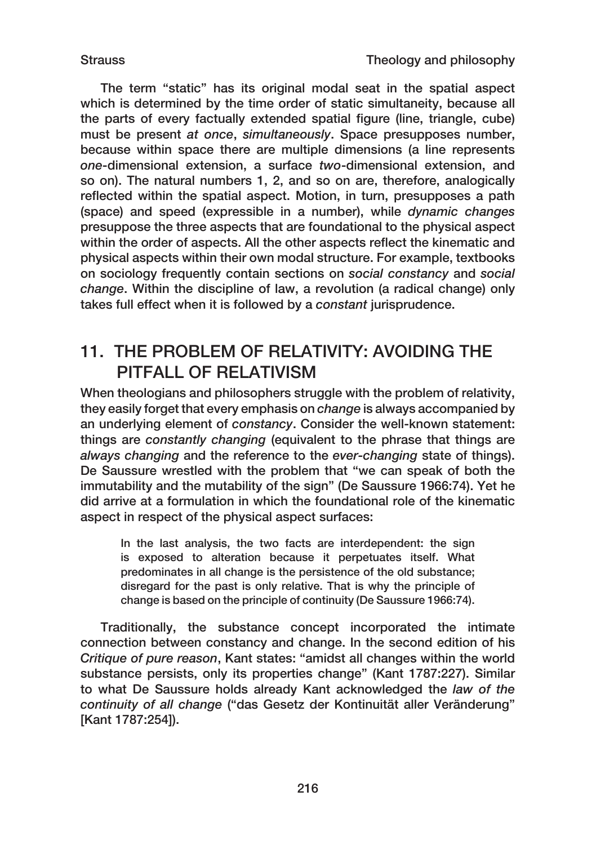The term "static" has its original modal seat in the spatial aspect which is determined by the time order of static simultaneity, because all the parts of every factually extended spatial figure (line, triangle, cube) must be present *at once*, *simultaneously*. Space presupposes number, because within space there are multiple dimensions (a line represents *one*‑dimensional extension, a surface *two*‑dimensional extension, and so on). The natural numbers 1, 2, and so on are, therefore, analogically reflected within the spatial aspect. Motion, in turn, presupposes a path (space) and speed (expressible in a number), while *dynamic changes* presuppose the three aspects that are foundational to the physical aspect within the order of aspects. All the other aspects reflect the kinematic and physical aspects within their own modal structure. For example, textbooks on sociology frequently contain sections on *social constancy* and *social change*. Within the discipline of law, a revolution (a radical change) only takes full effect when it is followed by a *constant* jurisprudence.

## 11. THE PROBLEM OF RELATIVITY: AVOIDING THE PITFALL OF RELATIVISM

When theologians and philosophers struggle with the problem of relativity, they easily forget that every emphasis on *change* is always accompanied by an underlying element of *constancy*. Consider the well-known statement: things are *constantly changing* (equivalent to the phrase that things are *always changing* and the reference to the *ever‑changing* state of things). De Saussure wrestled with the problem that "we can speak of both the immutability and the mutability of the sign" (De Saussure 1966:74). Yet he did arrive at a formulation in which the foundational role of the kinematic aspect in respect of the physical aspect surfaces:

In the last analysis, the two facts are interdependent: the sign is exposed to alteration because it perpetuates itself. What predominates in all change is the persistence of the old substance; disregard for the past is only relative. That is why the principle of change is based on the principle of continuity (De Saussure 1966:74).

Traditionally, the substance concept incorporated the intimate connection between constancy and change. In the second edition of his *Critique of pure reason*, Kant states: "amidst all changes within the world substance persists, only its properties change" (Kant 1787:227). Similar to what De Saussure holds already Kant acknowledged the *law of the continuity of all change* ("das Gesetz der Kontinuität aller Veränderung" [Kant 1787:254]).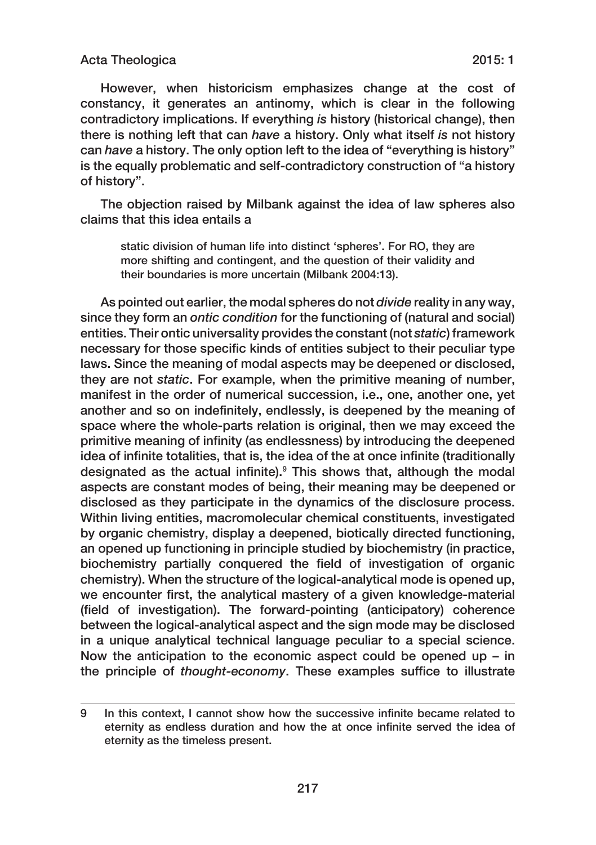#### Acta Theologica 2015: 1

However, when historicism emphasizes change at the cost of constancy, it generates an antinomy, which is clear in the following contradictory implications. If everything *is* history (historical change), then there is nothing left that can *have* a history. Only what itself *is* not history can *have* a history. The only option left to the idea of "everything is history" is the equally problematic and self-contradictory construction of "a history of history".

The objection raised by Milbank against the idea of law spheres also claims that this idea entails a

static division of human life into distinct 'spheres'. For RO, they are more shifting and contingent, and the question of their validity and their boundaries is more uncertain (Milbank 2004:13).

As pointed out earlier, the modal spheres do not *divide* reality in any way, since they form an *ontic condition* for the functioning of (natural and social) entities. Their ontic universality provides the constant (not *static*) framework necessary for those specific kinds of entities subject to their peculiar type laws. Since the meaning of modal aspects may be deepened or disclosed, they are not *static*. For example, when the primitive meaning of number, manifest in the order of numerical succession, i.e., one, another one, yet another and so on indefinitely, endlessly, is deepened by the meaning of space where the whole-parts relation is original, then we may exceed the primitive meaning of infinity (as endlessness) by introducing the deepened idea of infinite totalities, that is, the idea of the at once infinite (traditionally designated as the actual infinite).<sup>9</sup> This shows that, although the modal aspects are constant modes of being, their meaning may be deepened or disclosed as they participate in the dynamics of the disclosure process. Within living entities, macromolecular chemical constituents, investigated by organic chemistry, display a deepened, biotically directed functioning, an opened up functioning in principle studied by biochemistry (in practice, biochemistry partially conquered the field of investigation of organic chemistry). When the structure of the logical-analytical mode is opened up, we encounter first, the analytical mastery of a given knowledge-material (field of investigation). The forward‑pointing (anticipatory) coherence between the logical‑analytical aspect and the sign mode may be disclosed in a unique analytical technical language peculiar to a special science. Now the anticipation to the economic aspect could be opened up – in the principle of *thought‑economy*. These examples suffice to illustrate

<sup>9</sup> In this context, I cannot show how the successive infinite became related to eternity as endless duration and how the at once infinite served the idea of eternity as the timeless present.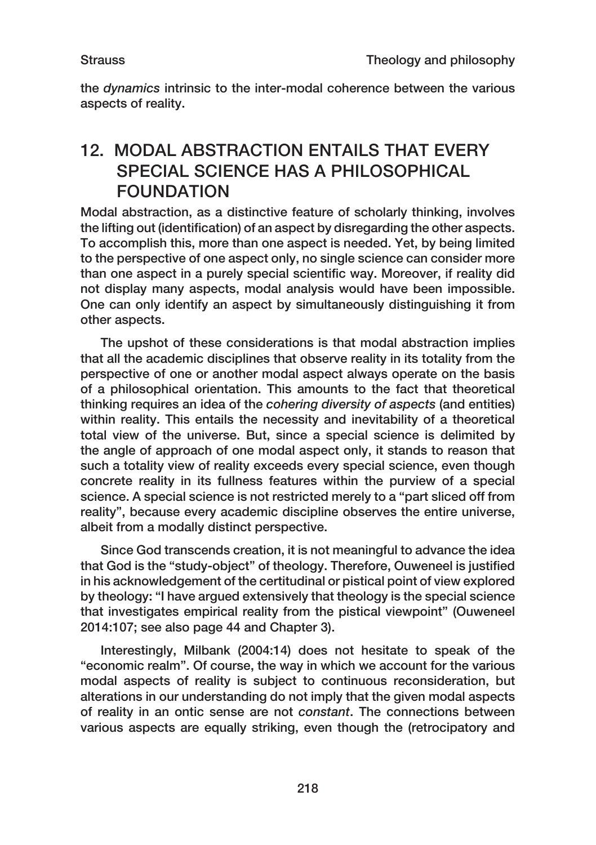the *dynamics* intrinsic to the inter‑modal coherence between the various aspects of reality.

## 12. MODAL ABSTRACTION ENTAILS THAT EVERY SPECIAL SCIENCE HAS A PHILOSOPHICAL FOUNDATION

Modal abstraction, as a distinctive feature of scholarly thinking, involves the lifting out (identification) of an aspect by disregarding the other aspects. To accomplish this, more than one aspect is needed. Yet, by being limited to the perspective of one aspect only, no single science can consider more than one aspect in a purely special scientific way. Moreover, if reality did not display many aspects, modal analysis would have been impossible. One can only identify an aspect by simultaneously distinguishing it from other aspects.

The upshot of these considerations is that modal abstraction implies that all the academic disciplines that observe reality in its totality from the perspective of one or another modal aspect always operate on the basis of a philosophical orientation. This amounts to the fact that theoretical thinking requires an idea of the *cohering diversity of aspects* (and entities) within reality. This entails the necessity and inevitability of a theoretical total view of the universe. But, since a special science is delimited by the angle of approach of one modal aspect only, it stands to reason that such a totality view of reality exceeds every special science, even though concrete reality in its fullness features within the purview of a special science. A special science is not restricted merely to a "part sliced off from reality", because every academic discipline observes the entire universe, albeit from a modally distinct perspective.

Since God transcends creation, it is not meaningful to advance the idea that God is the "study‑object" of theology. Therefore, Ouweneel is justified in his acknowledgement of the certitudinal or pistical point of view explored by theology: "I have argued extensively that theology is the special science that investigates empirical reality from the pistical viewpoint" (Ouweneel 2014:107; see also page 44 and Chapter 3).

Interestingly, Milbank (2004:14) does not hesitate to speak of the "economic realm". Of course, the way in which we account for the various modal aspects of reality is subject to continuous reconsideration, but alterations in our understanding do not imply that the given modal aspects of reality in an ontic sense are not *constant*. The connections between various aspects are equally striking, even though the (retrocipatory and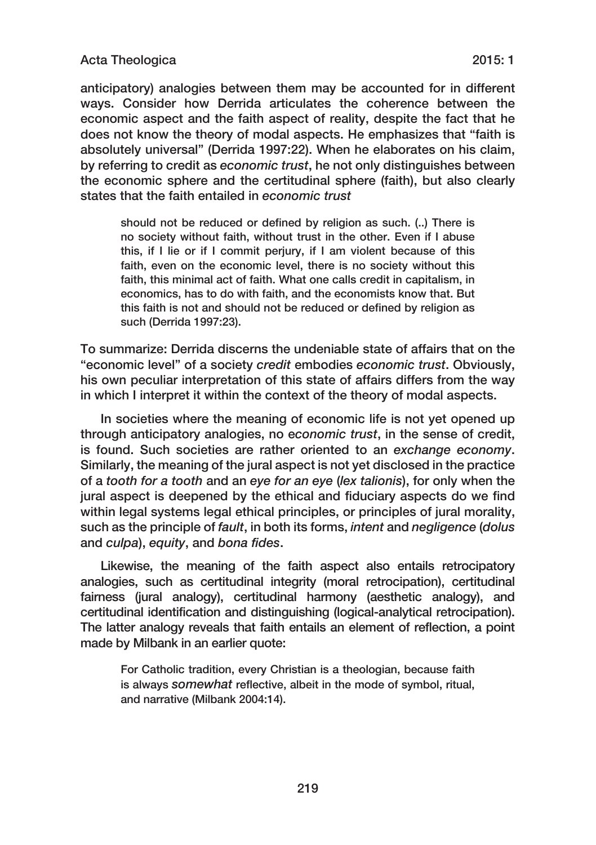anticipatory) analogies between them may be accounted for in different ways. Consider how Derrida articulates the coherence between the economic aspect and the faith aspect of reality, despite the fact that he does not know the theory of modal aspects. He emphasizes that "faith is absolutely universal" (Derrida 1997:22). When he elaborates on his claim, by referring to credit as *economic trust*, he not only distinguishes between the economic sphere and the certitudinal sphere (faith), but also clearly states that the faith entailed in *economic trust*

should not be reduced or defined by religion as such. (..) There is no society without faith, without trust in the other. Even if I abuse this, if I lie or if I commit perjury, if I am violent because of this faith, even on the economic level, there is no society without this faith, this minimal act of faith. What one calls credit in capitalism, in economics, has to do with faith, and the economists know that. But this faith is not and should not be reduced or defined by religion as such (Derrida 1997:23).

To summarize: Derrida discerns the undeniable state of affairs that on the "economic level" of a society *credit* embodies *economic trust*. Obviously, his own peculiar interpretation of this state of affairs differs from the way in which I interpret it within the context of the theory of modal aspects.

In societies where the meaning of economic life is not yet opened up through anticipatory analogies, no e*conomic trust*, in the sense of credit, is found. Such societies are rather oriented to an *exchange economy*. Similarly, the meaning of the jural aspect is not yet disclosed in the practice of a *tooth for a tooth* and an *eye for an eye* (*lex talionis*), for only when the jural aspect is deepened by the ethical and fiduciary aspects do we find within legal systems legal ethical principles, or principles of jural morality, such as the principle of *fault*, in both its forms, *intent* and *negligence* (*dolus* and *culpa*), *equity*, and *bona fides*.

Likewise, the meaning of the faith aspect also entails retrocipatory analogies, such as certitudinal integrity (moral retrocipation), certitudinal fairness (jural analogy), certitudinal harmony (aesthetic analogy), and certitudinal identification and distinguishing (logical‑analytical retrocipation). The latter analogy reveals that faith entails an element of reflection, a point made by Milbank in an earlier quote:

For Catholic tradition, every Christian is a theologian, because faith is always *somewhat* reflective, albeit in the mode of symbol, ritual, and narrative (Milbank 2004:14).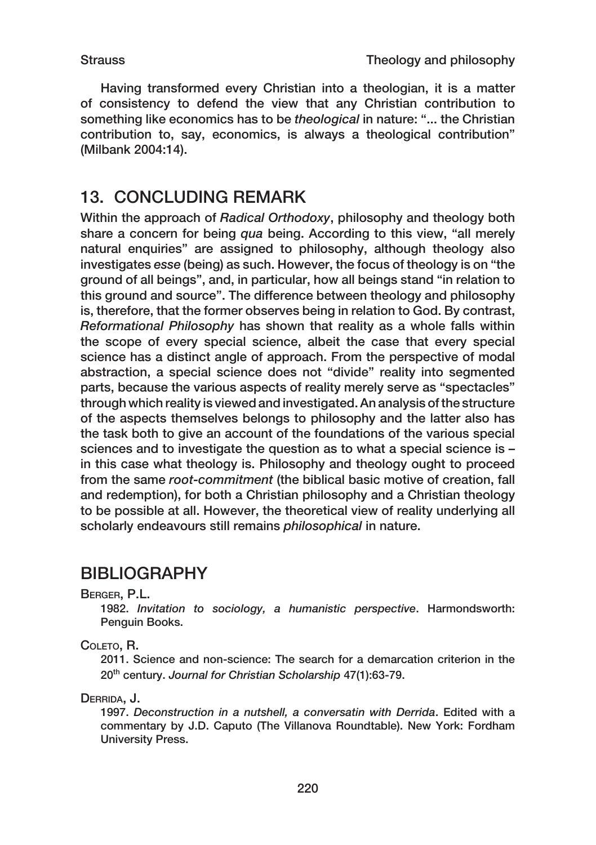Having transformed every Christian into a theologian, it is a matter of consistency to defend the view that any Christian contribution to something like economics has to be *theological* in nature: "... the Christian contribution to, say, economics, is always a theological contribution" (Milbank 2004:14).

## 13. CONCLUDING REMARK

Within the approach of *Radical Orthodoxy*, philosophy and theology both share a concern for being *qua* being. According to this view, "all merely natural enquiries" are assigned to philosophy, although theology also investigates *esse* (being) as such. However, the focus of theology is on "the ground of all beings", and, in particular, how all beings stand "in relation to this ground and source". The difference between theology and philosophy is, therefore, that the former observes being in relation to God. By contrast, *Reformational Philosophy* has shown that reality as a whole falls within the scope of every special science, albeit the case that every special science has a distinct angle of approach. From the perspective of modal abstraction, a special science does not "divide" reality into segmented parts, because the various aspects of reality merely serve as "spectacles" through which reality is viewed and investigated. An analysis of the structure of the aspects themselves belongs to philosophy and the latter also has the task both to give an account of the foundations of the various special sciences and to investigate the question as to what a special science is – in this case what theology is. Philosophy and theology ought to proceed from the same *root‑commitment* (the biblical basic motive of creation, fall and redemption), for both a Christian philosophy and a Christian theology to be possible at all. However, the theoretical view of reality underlying all scholarly endeavours still remains *philosophical* in nature.

## BIBLIOGRAPHY

Berger, P.L.

1982. *Invitation to sociology, a humanistic perspective*. Harmondsworth: Penguin Books.

Coleto, R.

2011. Science and non‑science: The search for a demarcation criterion in the 20th century. *Journal for Christian Scholarship* 47(1):63‑79.

Derrida, J.

1997. *Deconstruction in a nutshell, a conversatin with Derrida*. Edited with a commentary by J.D. Caputo (The Villanova Roundtable). New York: Fordham University Press.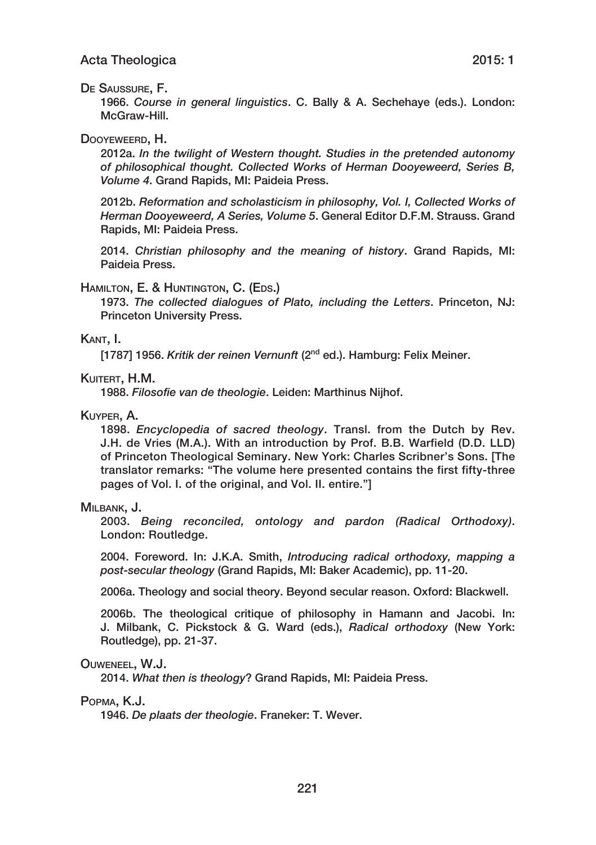#### De Saussure, F.

1966. *Course in general linguistics*. C. Bally & A. Sechehaye (eds.). London: McGraw‑Hill.

#### Dooyeweerd, H.

2012a. *In the twilight of Western thought. Studies in the pretended autonomy of philosophical thought. Collected Works of Herman Dooyeweerd, Series B, Volume 4*. Grand Rapids, MI: Paideia Press.

2012b. *Reformation and scholasticism in philosophy, Vol. I, Collected Works of Herman Dooyeweerd, A Series, Volume 5*. General Editor D.F.M. Strauss. Grand Rapids, MI: Paideia Press.

2014. *Christian philosophy and the meaning of history*. Grand Rapids, MI: Paideia Press.

#### HAMILTON, E. & HUNTINGTON, C. (EDS.)

1973. *The collected dialogues of Plato, including the Letters*. Princeton, NJ: Princeton University Press.

#### Kant, I.

[1787] 1956. *Kritik der reinen Vernunft* (2nd ed.). Hamburg: Felix Meiner.

#### Kuitert, H.M.

1988. *Filosofie van de theologie*. Leiden: Marthinus Nijhof.

#### Kuyper, A.

1898. *Encyclopedia of sacred theology*. Transl. from the Dutch by Rev. J.H. de Vries (M.A.). With an introduction by Prof. B.B. Warfield (D.D. LLD) of Princeton Theological Seminary. New York: Charles Scribner's Sons. [The translator remarks: "The volume here presented contains the first fifty-three pages of Vol. I. of the original, and Vol. II. entire."]

#### Milbank, J.

2003. *Being reconciled, ontology and pardon (Radical Orthodoxy)*. London: Routledge.

2004. Foreword. In: J.K.A. Smith, *Introducing radical orthodoxy, mapping a post‑secular theology* (Grand Rapids, MI: Baker Academic), pp. 11‑20.

2006a. Theology and social theory. Beyond secular reason. Oxford: Blackwell.

2006b. The theological critique of philosophy in Hamann and Jacobi. In: J. Milbank, C. Pickstock & G. Ward (eds.), *Radical orthodoxy* (New York: Routledge), pp. 21‑37.

#### Ouweneel, W.J.

2014. *What then is theology*? Grand Rapids, MI: Paideia Press.

#### Popma, K.J.

1946. *De plaats der theologie*. Franeker: T. Wever.